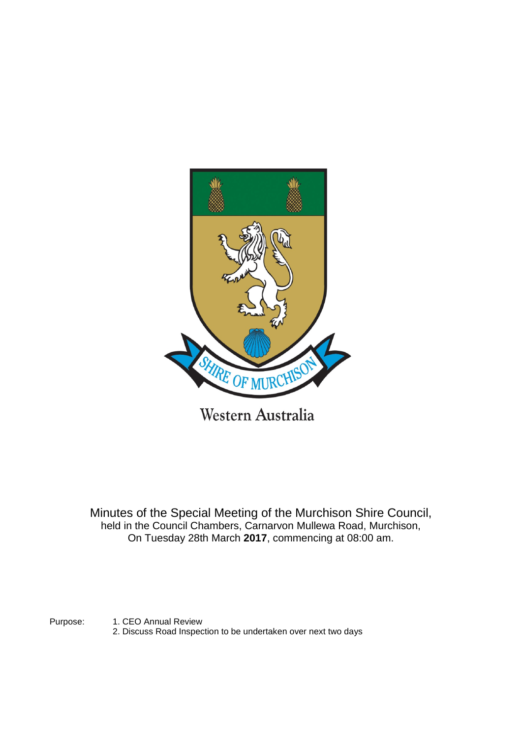

Minutes of the Special Meeting of the Murchison Shire Council, held in the Council Chambers, Carnarvon Mullewa Road, Murchison, On Tuesday 28th March **2017**, commencing at 08:00 am.

Purpose: 1. CEO Annual Review

2. Discuss Road Inspection to be undertaken over next two days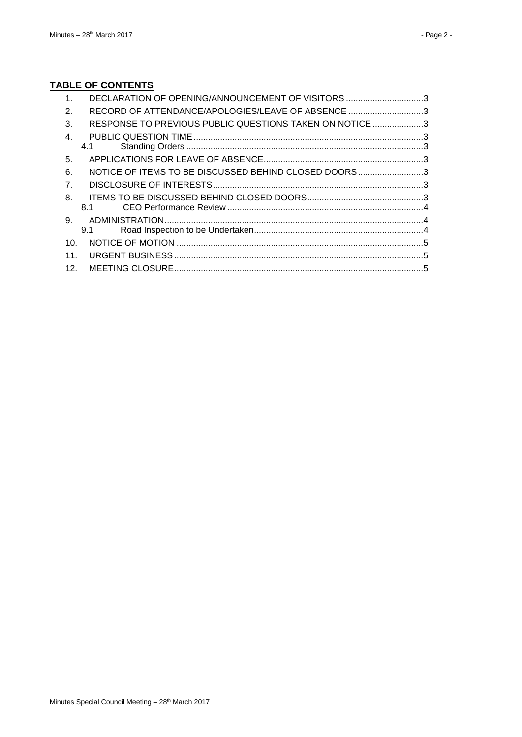# **TABLE OF CONTENTS**

| 1.              | DECLARATION OF OPENING/ANNOUNCEMENT OF VISITORS 3       |  |
|-----------------|---------------------------------------------------------|--|
| 2.              | RECORD OF ATTENDANCE/APOLOGIES/LEAVE OF ABSENCE 3       |  |
| 3.              | RESPONSE TO PREVIOUS PUBLIC QUESTIONS TAKEN ON NOTICE 3 |  |
| 4.              |                                                         |  |
|                 | 4.1                                                     |  |
| 5.              |                                                         |  |
| 6.              | NOTICE OF ITEMS TO BE DISCUSSED BEHIND CLOSED DOORS3    |  |
| 7.              |                                                         |  |
| 8.              |                                                         |  |
|                 | 8.1                                                     |  |
| 9.              |                                                         |  |
|                 | 9.1                                                     |  |
| 10.             |                                                         |  |
| 11.             |                                                         |  |
| 12 <sub>1</sub> |                                                         |  |
|                 |                                                         |  |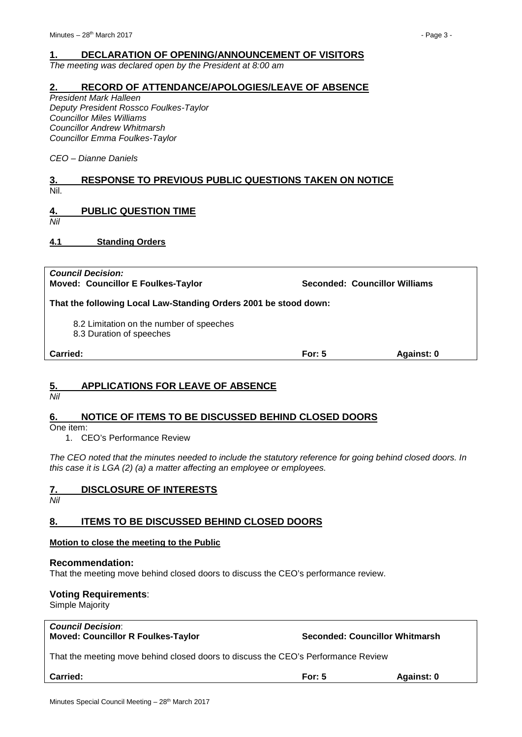### <span id="page-2-0"></span>**1. DECLARATION OF OPENING/ANNOUNCEMENT OF VISITORS**

*The meeting was declared open by the President at 8:00 am*

#### <span id="page-2-1"></span>**2. RECORD OF ATTENDANCE/APOLOGIES/LEAVE OF ABSENCE**

*President Mark Halleen Deputy President Rossco Foulkes-Taylor Councillor Miles Williams Councillor Andrew Whitmarsh Councillor Emma Foulkes-Taylor*

*CEO – Dianne Daniels*

### <span id="page-2-2"></span>**3. RESPONSE TO PREVIOUS PUBLIC QUESTIONS TAKEN ON NOTICE** Nil.

## <span id="page-2-3"></span>**4. PUBLIC QUESTION TIME**

*Nil*

<span id="page-2-4"></span>**4.1 Standing Orders**

| <b>Council Decision:</b><br><b>Moved: Councillor E Foulkes-Taylor</b> |          | Seconded: Councillor Williams |  |  |
|-----------------------------------------------------------------------|----------|-------------------------------|--|--|
| That the following Local Law-Standing Orders 2001 be stood down:      |          |                               |  |  |
| 8.2 Limitation on the number of speeches<br>8.3 Duration of speeches  |          |                               |  |  |
| Carried:                                                              | For: $5$ | Against: 0                    |  |  |

## <span id="page-2-5"></span>**5. APPLICATIONS FOR LEAVE OF ABSENCE**

*Nil*

## <span id="page-2-6"></span>**6. NOTICE OF ITEMS TO BE DISCUSSED BEHIND CLOSED DOORS**

One item:

1. CEO's Performance Review

*The CEO noted that the minutes needed to include the statutory reference for going behind closed doors. In this case it is LGA (2) (a) a matter affecting an employee or employees.*

## <span id="page-2-7"></span>**7. DISCLOSURE OF INTERESTS**

*Nil*

## <span id="page-2-8"></span>**8. ITEMS TO BE DISCUSSED BEHIND CLOSED DOORS**

#### **Motion to close the meeting to the Public**

#### **Recommendation:**

That the meeting move behind closed doors to discuss the CEO's performance review.

## **Voting Requirements**:

Simple Majority

| <b>Council Decision:</b>                  |  |
|-------------------------------------------|--|
| <b>Moved: Councillor R Foulkes-Taylor</b> |  |

**Seconded: Councillor Whitmarsh** 

That the meeting move behind closed doors to discuss the CEO's Performance Review

**Carried: For: 5 Against: 0**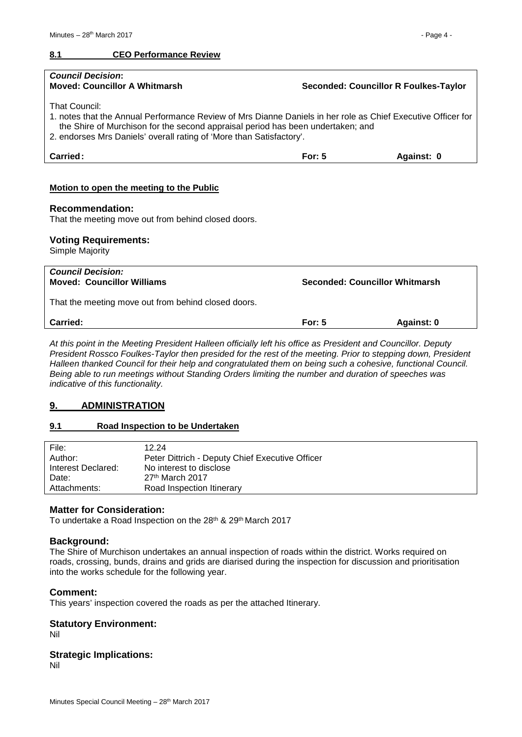#### <span id="page-3-0"></span>**8.1 CEO Performance Review**

| <b>Council Decision:</b><br><b>Moved: Councillor A Whitmarsh</b>                                                                                                                                                                                                                                | <b>Seconded: Councillor R Foulkes-Taylor</b> |            |  |  |
|-------------------------------------------------------------------------------------------------------------------------------------------------------------------------------------------------------------------------------------------------------------------------------------------------|----------------------------------------------|------------|--|--|
| <b>That Council:</b><br>1, notes that the Annual Performance Review of Mrs Dianne Daniels in her role as Chief Executive Officer for<br>the Shire of Murchison for the second appraisal period has been undertaken; and<br>2. endorses Mrs Daniels' overall rating of 'More than Satisfactory'. |                                              |            |  |  |
| Carried:                                                                                                                                                                                                                                                                                        | For: $5$                                     | Against: 0 |  |  |
| Motion to open the meeting to the Public<br><b>Recommendation:</b><br>That the meeting move out from behind closed doors.                                                                                                                                                                       |                                              |            |  |  |
| <b>Voting Requirements:</b><br>Simple Majority                                                                                                                                                                                                                                                  |                                              |            |  |  |
| <b>Council Decision:</b><br><b>Moved: Councillor Williams</b>                                                                                                                                                                                                                                   | <b>Seconded: Councillor Whitmarsh</b>        |            |  |  |

That the meeting move out from behind closed doors.

<span id="page-3-1"></span>*At this point in the Meeting President Halleen officially left his office as President and Councillor. Deputy President Rossco Foulkes-Taylor then presided for the rest of the meeting. Prior to stepping down, President Halleen thanked Council for their help and congratulated them on being such a cohesive, functional Council. Being able to run meetings without Standing Orders limiting the number and duration of speeches was indicative of this functionality.*

## **9. ADMINISTRATION**

#### <span id="page-3-2"></span>**9.1 Road Inspection to be Undertaken**

| File:              | 12.24                                           |
|--------------------|-------------------------------------------------|
| Author:            | Peter Dittrich - Deputy Chief Executive Officer |
| Interest Declared: | No interest to disclose                         |
| Date:              | $27th$ March 2017                               |
| Attachments:       | Road Inspection Itinerary                       |

#### **Matter for Consideration:**

To undertake a Road Inspection on the 28<sup>th</sup> & 29<sup>th</sup> March 2017

#### **Background:**

The Shire of Murchison undertakes an annual inspection of roads within the district. Works required on roads, crossing, bunds, drains and grids are diarised during the inspection for discussion and prioritisation into the works schedule for the following year.

#### **Comment:**

This years' inspection covered the roads as per the attached Itinerary.

# **Statutory Environment:**

Nil

#### **Strategic Implications:**

Nil